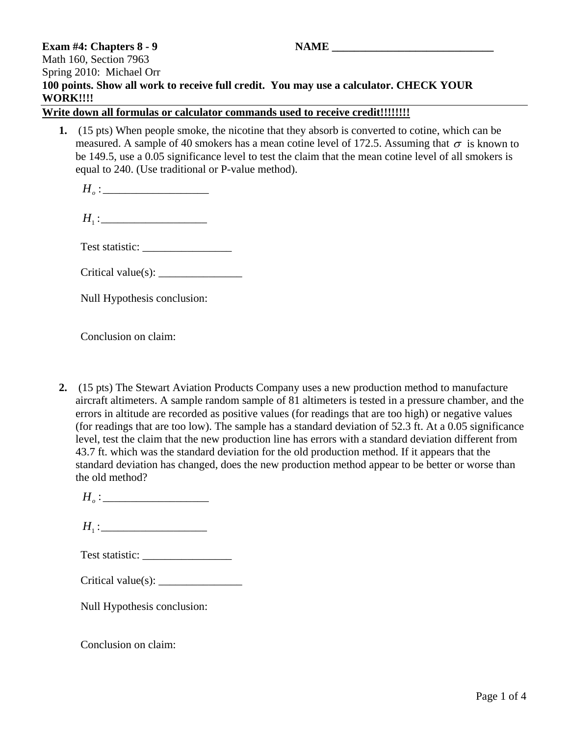## **Exam #4: Chapters 8 - 9 NAME** Math 160, Section 7963 Spring 2010: Michael Orr **100 points. Show all work to receive full credit. You may use a calculator. CHECK YOUR WORK!!!!**

**Write down all formulas or calculator commands used to receive credit!!!!!!!!**

- **1.** (15 pts) When people smoke, the nicotine that they absorb is converted to cotine, which can be measured. A sample of 40 smokers has a mean cotine level of 172.5. Assuming that  $\sigma$  is known to be 149.5, use a 0.05 significance level to test the claim that the mean cotine level of all smokers is equal to 240. (Use traditional or P-value method).
	- : *Ho* \_\_\_\_\_\_\_\_\_\_\_\_\_\_\_\_\_\_\_
	- $H_1:$

Test statistic: \_\_\_\_\_\_\_\_\_\_\_\_\_\_\_\_

|  | Critical value(s): |  |
|--|--------------------|--|
|--|--------------------|--|

Null Hypothesis conclusion:

Conclusion on claim:

**2.** (15 pts) The Stewart Aviation Products Company uses a new production method to manufacture aircraft altimeters. A sample random sample of 81 altimeters is tested in a pressure chamber, and the errors in altitude are recorded as positive values (for readings that are too high) or negative values (for readings that are too low). The sample has a standard deviation of 52.3 ft. At a 0.05 significance level, test the claim that the new production line has errors with a standard deviation different from 43.7 ft. which was the standard deviation for the old production method. If it appears that the standard deviation has changed, does the new production method appear to be better or worse than the old method?

| Test statistic: |  |
|-----------------|--|
|-----------------|--|

| Critical value(s): |  |
|--------------------|--|
|--------------------|--|

Null Hypothesis conclusion:

Conclusion on claim: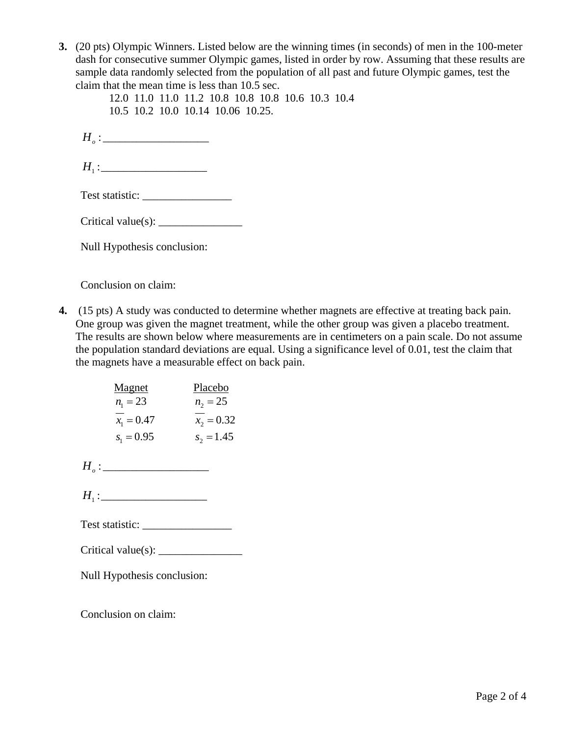**3.** (20 pts) Olympic Winners. Listed below are the winning times (in seconds) of men in the 100-meter dash for consecutive summer Olympic games, listed in order by row. Assuming that these results are sample data randomly selected from the population of all past and future Olympic games, test the claim that the mean time is less than 10.5 sec.

 12.0 11.0 11.0 11.2 10.8 10.8 10.8 10.6 10.3 10.4 10.5 10.2 10.0 10.14 10.06 10.25.

: *Ho* \_\_\_\_\_\_\_\_\_\_\_\_\_\_\_\_\_\_\_

<sup>1</sup> *H* :\_\_\_\_\_\_\_\_\_\_\_\_\_\_\_\_\_\_\_

Test statistic: \_\_\_\_\_\_\_\_\_\_\_\_\_\_\_\_

 $Critical value(s): \_$ 

Null Hypothesis conclusion:

Conclusion on claim:

**4.** (15 pts) A study was conducted to determine whether magnets are effective at treating back pain. One group was given the magnet treatment, while the other group was given a placebo treatment. The results are shown below where measurements are in centimeters on a pain scale. Do not assume the population standard deviations are equal. Using a significance level of 0.01, test the claim that the magnets have a measurable effect on back pain.

| <b>Magnet</b> | Placebo      |
|---------------|--------------|
| $n_1 = 23$    | $n_2 = 25$   |
| $x_1 = 0.47$  | $x_2 = 0.32$ |
| $s_1 = 0.95$  | $s_2 = 1.45$ |

: *Ho* \_\_\_\_\_\_\_\_\_\_\_\_\_\_\_\_\_\_\_

 $H_1:$ 

Test statistic: \_\_\_\_\_\_\_\_\_\_\_\_\_\_\_\_

 $Critical value(s):$ 

Null Hypothesis conclusion:

Conclusion on claim: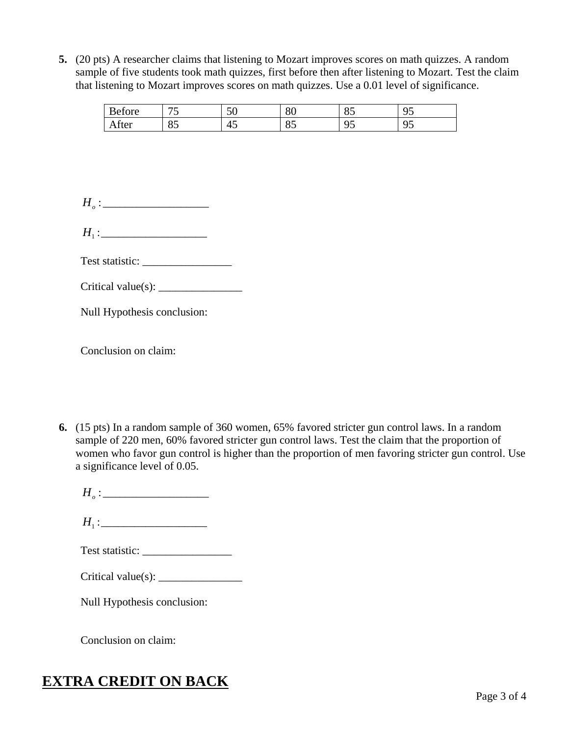**5.** (20 pts) A researcher claims that listening to Mozart improves scores on math quizzes. A random sample of five students took math quizzes, first before then after listening to Mozart. Test the claim that listening to Mozart improves scores on math quizzes. Use a 0.01 level of significance.

| <sub>n</sub><br>efore<br>₩ | $\overline{a}$<br>ັ | $\sim$ $\sim$<br>◡◡ | 80       | ΩE<br>ΟJ        | $\sim$ $\sim$<br>ີ<br>╯ |
|----------------------------|---------------------|---------------------|----------|-----------------|-------------------------|
| After                      | o r<br>OJ.          | 45                  | OΕ<br>οJ | ⌒ 冖<br>ີ<br>ر . | ∼ ~<br>ີ<br>ر .         |

 $H_o:$ 

 $H_1:$ 

Test statistic: \_\_\_\_\_\_\_\_\_\_\_\_\_\_\_\_

Critical value(s): \_\_\_\_\_\_\_\_\_\_\_\_\_\_\_

Null Hypothesis conclusion:

Conclusion on claim:

- **6.** (15 pts) In a random sample of 360 women, 65% favored stricter gun control laws. In a random sample of 220 men, 60% favored stricter gun control laws. Test the claim that the proportion of women who favor gun control is higher than the proportion of men favoring stricter gun control. Use a significance level of 0.05.
	- $H_o:$
	- $H_1$ :
	- Test statistic: \_\_\_\_\_\_\_\_\_\_\_\_\_\_\_\_
	- $Critical value(s): \_$

Null Hypothesis conclusion:

Conclusion on claim:

## **EXTRA CREDIT ON BACK**